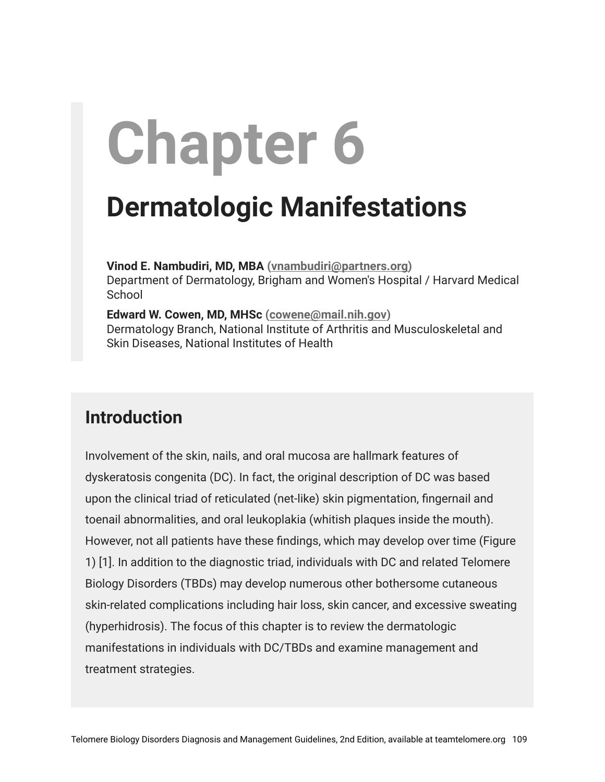# **Chapter 6**

## **Dermatologic Manifestations**

**Vinod E. Nambudiri, MD, MBA [\(vnambudiri@partners.org](mailto:vnambudiri@partners.org))** Department of Dermatology, Brigham and Women's Hospital / Harvard Medical **School** 

**Edward W. Cowen, MD, MHSc ([cowene@mail.nih.gov\)](mailto:cowene@mail.nih.gov)** Dermatology Branch, National Institute of Arthritis and Musculoskeletal and Skin Diseases, National Institutes of Health

#### **Introduction**

Involvement of the skin, nails, and oral mucosa are hallmark features of dyskeratosis congenita (DC). In fact, the original description of DC was based upon the clinical triad of reticulated (net-like) skin pigmentation, fingernail and toenail abnormalities, and oral leukoplakia (whitish plaques inside the mouth). However, not all patients have these findings, which may develop over time (Figure 1) [1]. In addition to the diagnostic triad, individuals with DC and related Telomere Biology Disorders (TBDs) may develop numerous other bothersome cutaneous skin-related complications including hair loss, skin cancer, and excessive sweating (hyperhidrosis). The focus of this chapter is to review the dermatologic manifestations in individuals with DC/TBDs and examine management and treatment strategies.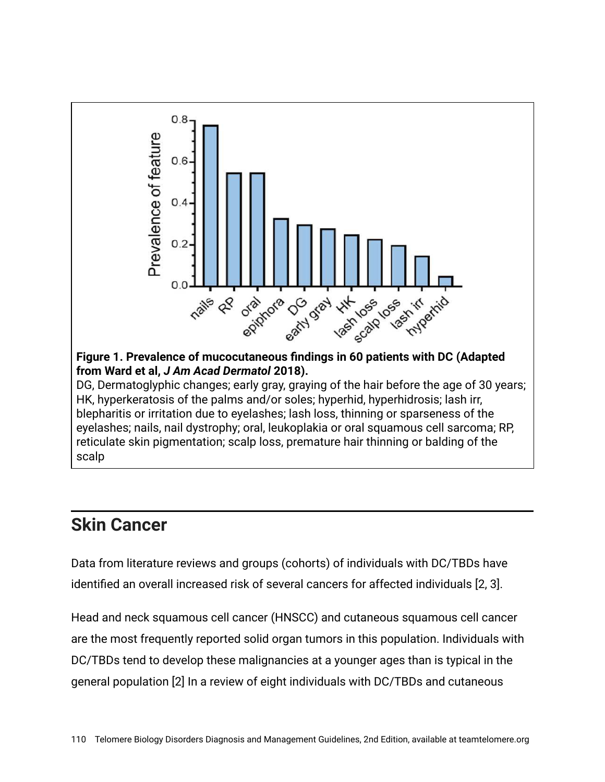

#### **Skin Cancer**

Data from literature reviews and groups (cohorts) of individuals with DC/TBDs have identified an overall increased risk of several cancers for affected individuals [2, 3].

Head and neck squamous cell cancer (HNSCC) and cutaneous squamous cell cancer are the most frequently reported solid organ tumors in this population. Individuals with DC/TBDs tend to develop these malignancies at a younger ages than is typical in the general population [2] In a review of eight individuals with DC/TBDs and cutaneous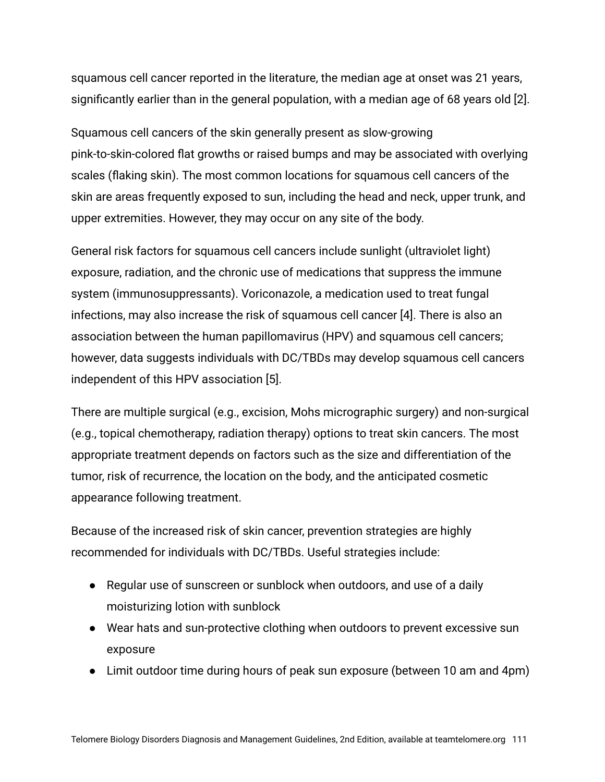squamous cell cancer reported in the literature, the median age at onset was 21 years, significantly earlier than in the general population, with a median age of 68 years old [2].

Squamous cell cancers of the skin generally present as slow-growing pink-to-skin-colored flat growths or raised bumps and may be associated with overlying scales (flaking skin). The most common locations for squamous cell cancers of the skin are areas frequently exposed to sun, including the head and neck, upper trunk, and upper extremities. However, they may occur on any site of the body.

General risk factors for squamous cell cancers include sunlight (ultraviolet light) exposure, radiation, and the chronic use of medications that suppress the immune system (immunosuppressants). Voriconazole, a medication used to treat fungal infections, may also increase the risk of squamous cell cancer [4]. There is also an association between the human papillomavirus (HPV) and squamous cell cancers; however, data suggests individuals with DC/TBDs may develop squamous cell cancers independent of this HPV association [5].

There are multiple surgical (e.g., excision, Mohs micrographic surgery) and non-surgical (e.g., topical chemotherapy, radiation therapy) options to treat skin cancers. The most appropriate treatment depends on factors such as the size and differentiation of the tumor, risk of recurrence, the location on the body, and the anticipated cosmetic appearance following treatment.

Because of the increased risk of skin cancer, prevention strategies are highly recommended for individuals with DC/TBDs. Useful strategies include:

- Regular use of sunscreen or sunblock when outdoors, and use of a daily moisturizing lotion with sunblock
- Wear hats and sun-protective clothing when outdoors to prevent excessive sun exposure
- Limit outdoor time during hours of peak sun exposure (between 10 am and 4pm)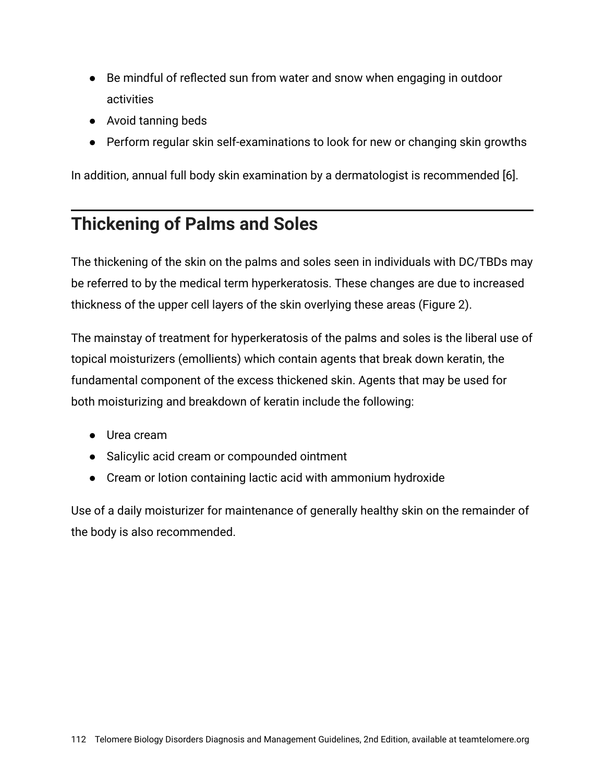- Be mindful of reflected sun from water and snow when engaging in outdoor activities
- Avoid tanning beds
- Perform regular skin self-examinations to look for new or changing skin growths

In addition, annual full body skin examination by a dermatologist is recommended [6].

### **Thickening of Palms and Soles**

The thickening of the skin on the palms and soles seen in individuals with DC/TBDs may be referred to by the medical term hyperkeratosis. These changes are due to increased thickness of the upper cell layers of the skin overlying these areas (Figure 2).

The mainstay of treatment for hyperkeratosis of the palms and soles is the liberal use of topical moisturizers (emollients) which contain agents that break down keratin, the fundamental component of the excess thickened skin. Agents that may be used for both moisturizing and breakdown of keratin include the following:

- Urea cream
- Salicylic acid cream or compounded ointment
- Cream or lotion containing lactic acid with ammonium hydroxide

Use of a daily moisturizer for maintenance of generally healthy skin on the remainder of the body is also recommended.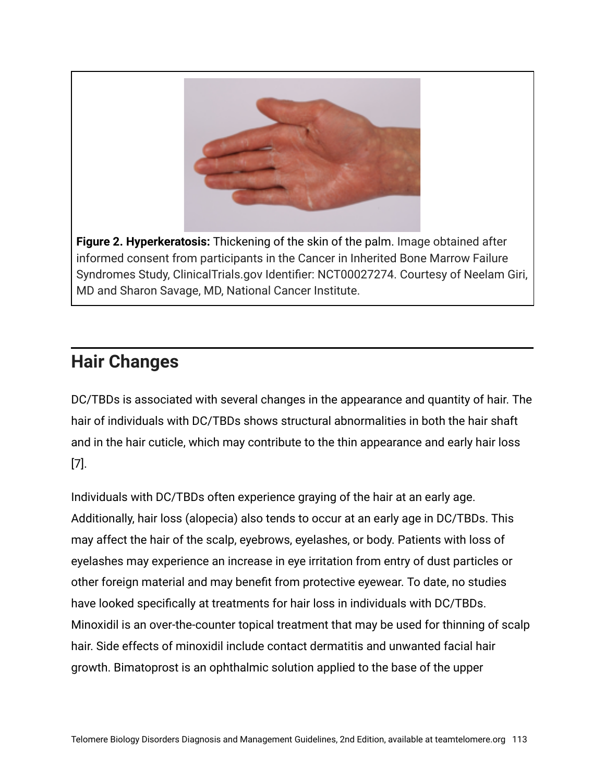

**Figure 2. Hyperkeratosis:** Thickening of the skin of the palm. Image obtained after informed consent from participants in the Cancer in Inherited Bone Marrow Failure Syndromes Study, ClinicalTrials.gov Identifier: NCT00027274. Courtesy of Neelam Giri, MD and Sharon Savage, MD, National Cancer Institute.

#### **Hair Changes**

DC/TBDs is associated with several changes in the appearance and quantity of hair. The hair of individuals with DC/TBDs shows structural abnormalities in both the hair shaft and in the hair cuticle, which may contribute to the thin appearance and early hair loss [7].

Individuals with DC/TBDs often experience graying of the hair at an early age. Additionally, hair loss (alopecia) also tends to occur at an early age in DC/TBDs. This may affect the hair of the scalp, eyebrows, eyelashes, or body. Patients with loss of eyelashes may experience an increase in eye irritation from entry of dust particles or other foreign material and may benefit from protective eyewear. To date, no studies have looked specifically at treatments for hair loss in individuals with DC/TBDs. Minoxidil is an over-the-counter topical treatment that may be used for thinning of scalp hair. Side effects of minoxidil include contact dermatitis and unwanted facial hair growth. Bimatoprost is an ophthalmic solution applied to the base of the upper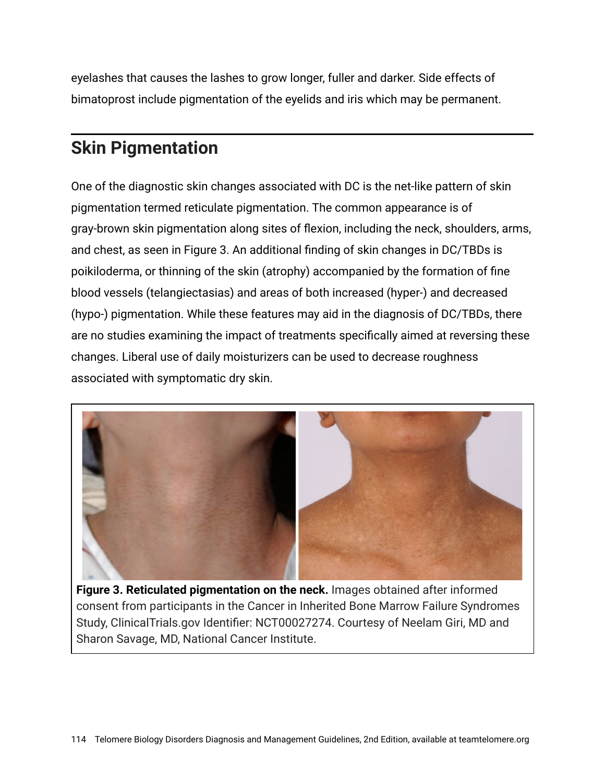eyelashes that causes the lashes to grow longer, fuller and darker. Side effects of bimatoprost include pigmentation of the eyelids and iris which may be permanent.

#### **Skin Pigmentation**

One of the diagnostic skin changes associated with DC is the net-like pattern of skin pigmentation termed reticulate pigmentation. The common appearance is of gray-brown skin pigmentation along sites of flexion, including the neck, shoulders, arms, and chest, as seen in Figure 3. An additional finding of skin changes in DC/TBDs is poikiloderma, or thinning of the skin (atrophy) accompanied by the formation of fine blood vessels (telangiectasias) and areas of both increased (hyper-) and decreased (hypo-) pigmentation. While these features may aid in the diagnosis of DC/TBDs, there are no studies examining the impact of treatments specifically aimed at reversing these changes. Liberal use of daily moisturizers can be used to decrease roughness associated with symptomatic dry skin.



**Figure 3. Reticulated pigmentation on the neck.** Images obtained after informed consent from participants in the Cancer in Inherited Bone Marrow Failure Syndromes Study, ClinicalTrials.gov Identifier: NCT00027274. Courtesy of Neelam Giri, MD and Sharon Savage, MD, National Cancer Institute.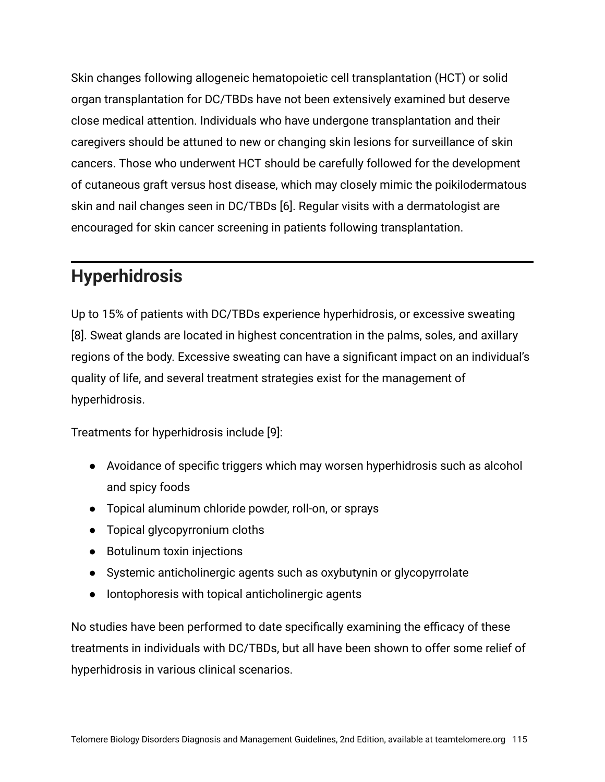Skin changes following allogeneic hematopoietic cell transplantation (HCT) or solid organ transplantation for DC/TBDs have not been extensively examined but deserve close medical attention. Individuals who have undergone transplantation and their caregivers should be attuned to new or changing skin lesions for surveillance of skin cancers. Those who underwent HCT should be carefully followed for the development of cutaneous graft versus host disease, which may closely mimic the poikilodermatous skin and nail changes seen in DC/TBDs [6]. Regular visits with a dermatologist are encouraged for skin cancer screening in patients following transplantation.

#### **Hyperhidrosis**

Up to 15% of patients with DC/TBDs experience hyperhidrosis, or excessive sweating [8]. Sweat glands are located in highest concentration in the palms, soles, and axillary regions of the body. Excessive sweating can have a significant impact on an individual's quality of life, and several treatment strategies exist for the management of hyperhidrosis.

Treatments for hyperhidrosis include [9]:

- Avoidance of specific triggers which may worsen hyperhidrosis such as alcohol and spicy foods
- Topical aluminum chloride powder, roll-on, or sprays
- Topical glycopyrronium cloths
- Botulinum toxin injections
- Systemic anticholinergic agents such as oxybutynin or glycopyrrolate
- Iontophoresis with topical anticholinergic agents

No studies have been performed to date specifically examining the efficacy of these treatments in individuals with DC/TBDs, but all have been shown to offer some relief of hyperhidrosis in various clinical scenarios.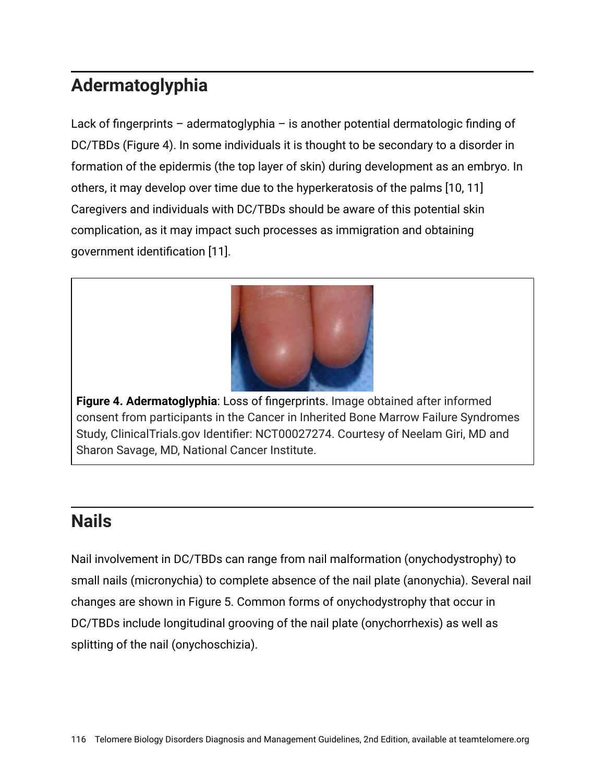### **Adermatoglyphia**

Lack of fingerprints – adermatoglyphia – is another potential dermatologic finding of DC/TBDs (Figure 4). In some individuals it is thought to be secondary to a disorder in formation of the epidermis (the top layer of skin) during development as an embryo. In others, it may develop over time due to the hyperkeratosis of the palms [10, 11] Caregivers and individuals with DC/TBDs should be aware of this potential skin complication, as it may impact such processes as immigration and obtaining government identification [11].



**Figure 4. Adermatoglyphia**: Loss of fingerprints. Image obtained after informed consent from participants in the Cancer in Inherited Bone Marrow Failure Syndromes Study, ClinicalTrials.gov Identifier: NCT00027274. Courtesy of Neelam Giri, MD and Sharon Savage, MD, National Cancer Institute.

#### **Nails**

Nail involvement in DC/TBDs can range from nail malformation (onychodystrophy) to small nails (micronychia) to complete absence of the nail plate (anonychia). Several nail changes are shown in Figure 5. Common forms of onychodystrophy that occur in DC/TBDs include longitudinal grooving of the nail plate (onychorrhexis) as well as splitting of the nail (onychoschizia).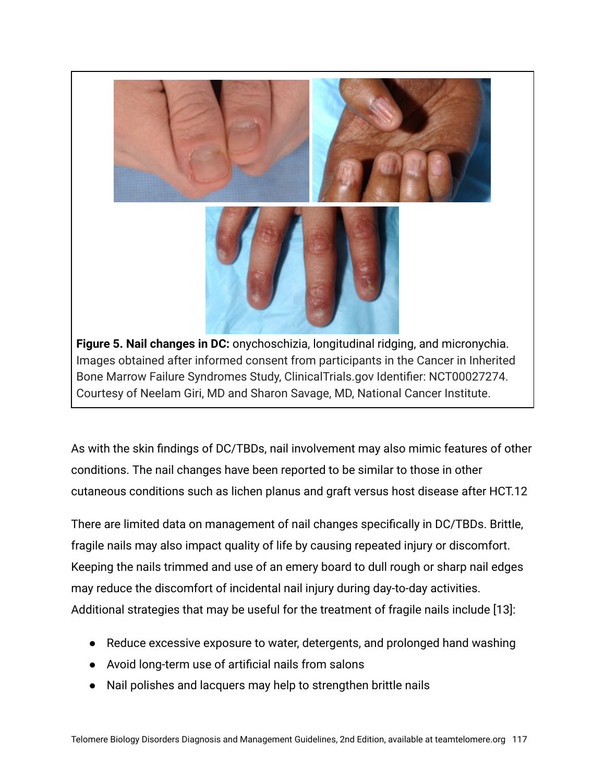

Images obtained after informed consent from participants in the Cancer in Inherited Bone Marrow Failure Syndromes Study, ClinicalTrials.gov Identifier: NCT00027274. Courtesy of Neelam Giri, MD and Sharon Savage, MD, National Cancer Institute.

As with the skin findings of DC/TBDs, nail involvement may also mimic features of other conditions. The nail changes have been reported to be similar to those in other cutaneous conditions such as lichen planus and graft versus host disease after HCT.12

There are limited data on management of nail changes specifically in DC/TBDs. Brittle, fragile nails may also impact quality of life by causing repeated injury or discomfort. Keeping the nails trimmed and use of an emery board to dull rough or sharp nail edges may reduce the discomfort of incidental nail injury during day-to-day activities. Additional strategies that may be useful for the treatment of fragile nails include [13]:

- Reduce excessive exposure to water, detergents, and prolonged hand washing
- Avoid long-term use of artificial nails from salons
- Nail polishes and lacquers may help to strengthen brittle nails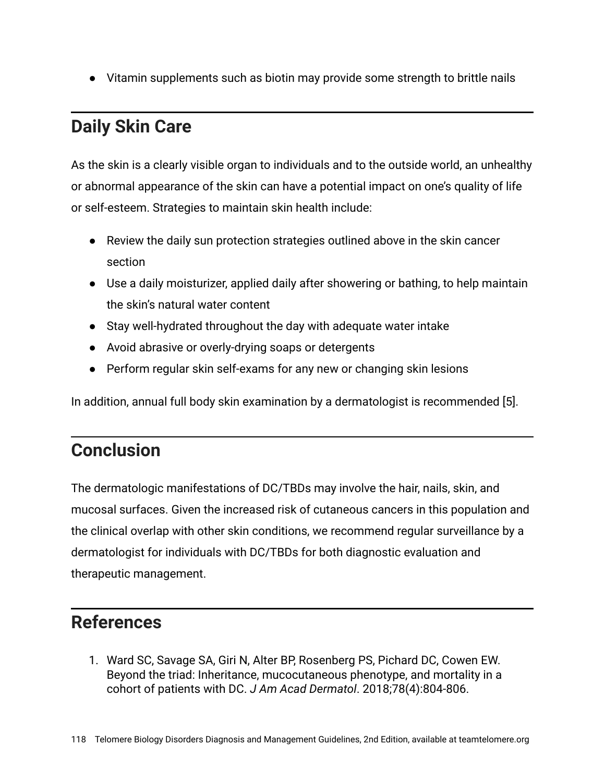● Vitamin supplements such as biotin may provide some strength to brittle nails

#### **Daily Skin Care**

As the skin is a clearly visible organ to individuals and to the outside world, an unhealthy or abnormal appearance of the skin can have a potential impact on one's quality of life or self-esteem. Strategies to maintain skin health include:

- Review the daily sun protection strategies outlined above in the skin cancer section
- Use a daily moisturizer, applied daily after showering or bathing, to help maintain the skin's natural water content
- Stay well-hydrated throughout the day with adequate water intake
- Avoid abrasive or overly-drying soaps or detergents
- Perform regular skin self-exams for any new or changing skin lesions

In addition, annual full body skin examination by a dermatologist is recommended [5].

#### **Conclusion**

The dermatologic manifestations of DC/TBDs may involve the hair, nails, skin, and mucosal surfaces. Given the increased risk of cutaneous cancers in this population and the clinical overlap with other skin conditions, we recommend regular surveillance by a dermatologist for individuals with DC/TBDs for both diagnostic evaluation and therapeutic management.

#### **References**

1. Ward SC, Savage SA, Giri N, Alter BP, Rosenberg PS, Pichard DC, Cowen EW. Beyond the triad: Inheritance, mucocutaneous phenotype, and mortality in a cohort of patients with DC. *J Am Acad Dermatol*. 2018;78(4):804-806.